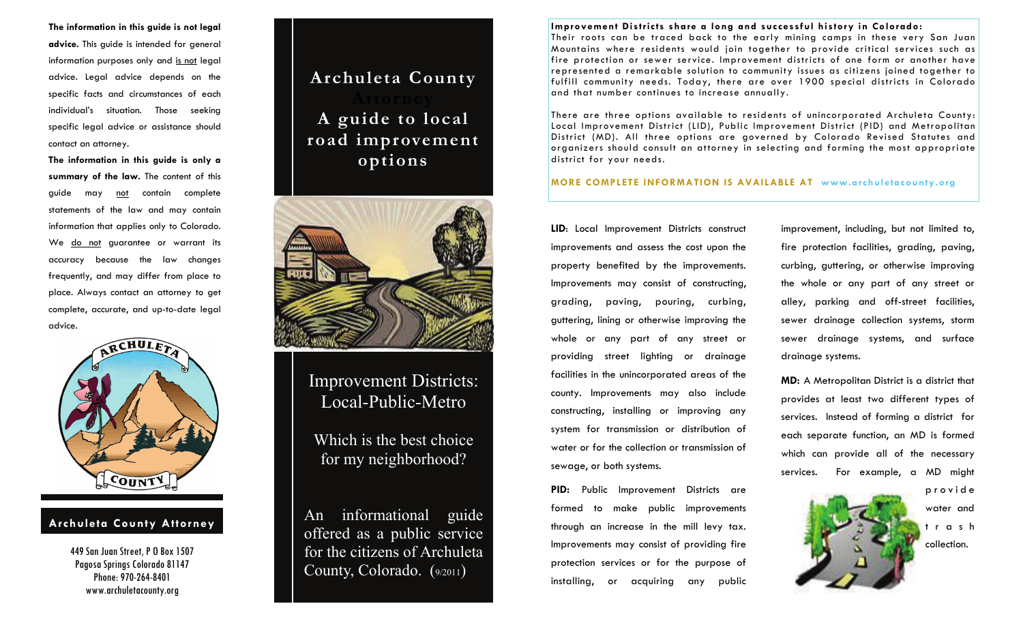**The information in this guide is not legal advice.** This guide is intended for general information purposes only and is not legal advice. Legal advice depends on the specific facts and circumstances of each individual's situation. Those seeking specific legal advice or assistance should contact an attorney.

**The information in this guide is only a summary of the law.** The content of this guide may not contain complete statements of the law and may contain information that applies only to Colorado. We do not guarantee or warrant its accuracy because the law changes frequently, and may differ from place to place. Always contact an attorney to get complete, accurate, and up-to-date legal advice.



#### **Archuleta County Attorney**

449 San Juan Street, P O Box 1507 Pagosa Springs Colorado 81147 Phone: 970-264-8401 www.archuletacounty.org

### **Archuleta County**

## **A guide to local road improvement options**



### Improvement Districts: Local-Public-Metro

Which is the best choice for my neighborhood?

An informational guide offered as a public service for the citizens of Archuleta County, Colorado. (9/2011)

#### **Improvement Districts share a long and successful history in Colorado:**

Their roots can be traced back to the early mining camps in these very San Juan Mountains where residents would join together to provide critical services such as fire protection or sewer service. Improvement districts of one form or another have represented a remarkable solution to community issues as citizens joined together to fulfill community needs. Today, there are over 1900 special districts in Colorado and that number continues to increase annually.

There are three options available to residents of unincorporated Archuleta County: Local Improvement District (LID), Public Improvement District (PID) and Metropolitan District (MD). All three options are governed by Colorado Revised Statutes and organizers should consult an attorney in selecting and forming the most appropriate district for your needs.

#### **MORE COMPLETE INFORMATION IS AVAILABLE AT www.archuletacounty.org**

**LID**: Local Improvement Districts construct improvements and assess the cost upon the property benefited by the improvements. Improvements may consist of constructing, grading, paving, pouring, curbing, guttering, lining or otherwise improving the whole or any part of any street or providing street lighting or drainage facilities in the unincorporated areas of the county. Improvements may also include constructing, installing or improving any system for transmission or distribution of water or for the collection or transmission of sewage, or both systems.

**PID:** Public Improvement Districts are formed to make public improvements through an increase in the mill levy tax. Improvements may consist of providing fire protection services or for the purpose of installing, or acquiring any public improvement, including, but not limited to, fire protection facilities, grading, paving, curbing, guttering, or otherwise improving the whole or any part of any street or alley, parking and off-street facilities, sewer drainage collection systems, storm sewer drainage systems, and surface drainage systems.

**MD:** A Metropolitan District is a district that provides at least two different types of services. Instead of forming a district for each separate function, an MD is formed which can provide all of the necessary services. For example, a MD might



water and t <sup>r</sup> <sup>a</sup> <sup>s</sup> h collection.

p <sup>r</sup> <sup>o</sup> <sup>v</sup> i d <sup>e</sup>